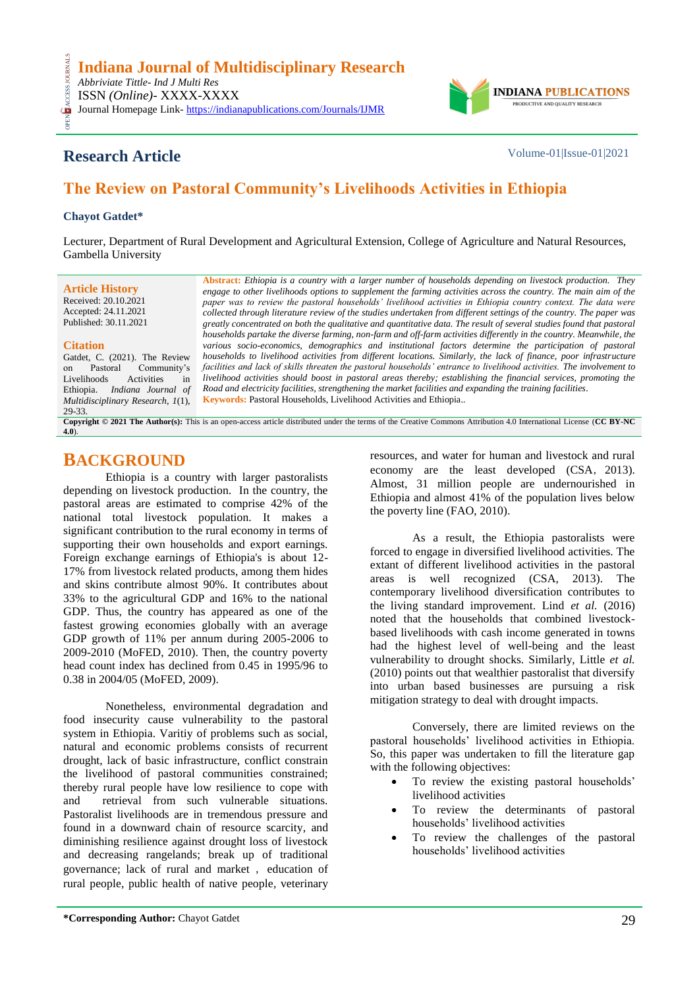

# **Research Article** Volume-01|Issue-01|2021

# **The Review on Pastoral Community's Livelihoods Activities in Ethiopia**

### **Chayot Gatdet\***

CESS

Lecturer, Department of Rural Development and Agricultural Extension, College of Agriculture and Natural Resources, Gambella University

**Article History** Received: 20.10.2021 Accepted: 24.11.2021 Published: 30.11.2021

**Citation**

Livelihoods

29-33.

**Abstract:** *Ethiopia is a country with a larger number of households depending on livestock production. They engage to other livelihoods options to supplement the farming activities across the country. The main aim of the paper was to review the pastoral households' livelihood activities in Ethiopia country context. The data were collected through literature review of the studies undertaken from different settings of the country. The paper was greatly concentrated on both the qualitative and quantitative data. The result of several studies found that pastoral households partake the diverse farming, non-farm and off-farm activities differently in the country. Meanwhile, the* various socio-economics, demographics and institutional factors determine the participation of pastoral *households to livelihood activities from different locations. Similarly, the lack of finance, poor infrastructure facilities and lack of skills threaten the pastoral households' entrance to livelihood activities. The involvement to livelihood activities should boost in pastoral areas thereby; establishing the financial services, promoting the Road and electricity facilities, strengthening the market facilities and expanding the training facilities.* **Keywords:** Pastoral Households, Livelihood Activities and Ethiopia.*.*

**Copyright © 2021 The Author(s):** This is an open-access article distributed under the terms of the Creative Commons Attribution 4.0 International License (**[CC BY-NC](https://creativecommons.org/licenses/by-nc/4.0/)  [4.0](https://creativecommons.org/licenses/by-nc/4.0/)**).

## **BACKGROUND**

Gatdet, C. (2021). The Review<br>on Pastoral Community's on Pastoral Community's<br>Livelihoods Activities in

Ethiopia. *Indiana Journal of Multidisciplinary Research, 1*(1),

Ethiopia is a country with larger pastoralists depending on livestock production. In the country, the pastoral areas are estimated to comprise 42% of the national total livestock population. It makes a significant contribution to the rural economy in terms of supporting their own households and export earnings. Foreign exchange earnings of Ethiopia's is about 12- 17% from livestock related products, among them hides and skins contribute almost 90%. It contributes about 33% to the agricultural GDP and 16% to the national GDP. Thus, the country has appeared as one of the fastest growing economies globally with an average GDP growth of 11% per annum during 2005-2006 to 2009-2010 (MoFED, 2010). Then, the country poverty head count index has declined from 0.45 in 1995/96 to 0.38 in 2004/05 (MoFED, 2009).

Nonetheless, environmental degradation and food insecurity cause vulnerability to the pastoral system in Ethiopia. Varitiy of problems such as social, natural and economic problems consists of recurrent drought, lack of basic infrastructure, conflict constrain the livelihood of pastoral communities constrained; thereby rural people have low resilience to cope with and retrieval from such vulnerable situations. Pastoralist livelihoods are in tremendous pressure and found in a downward chain of resource scarcity, and diminishing resilience against drought loss of livestock and decreasing rangelands; break up of traditional governance; lack of rural and market, education of rural people, public health of native people, veterinary resources, and water for human and livestock and rural economy are the least developed (CSA, 2013). Almost, 31 million people are undernourished in Ethiopia and almost 41% of the population lives below the poverty line (FAO, 2010).

As a result, the Ethiopia pastoralists were forced to engage in diversified livelihood activities. The extant of different livelihood activities in the pastoral areas is well recognized (CSA, 2013). The contemporary livelihood diversification contributes to the living standard improvement. Lind *et al.* (2016) noted that the households that combined livestockbased livelihoods with cash income generated in towns had the highest level of well-being and the least vulnerability to drought shocks. Similarly, Little *et al.* (2010) points out that wealthier pastoralist that diversify into urban based businesses are pursuing a risk mitigation strategy to deal with drought impacts.

Conversely, there are limited reviews on the pastoral households' livelihood activities in Ethiopia. So, this paper was undertaken to fill the literature gap with the following objectives:

- To review the existing pastoral households' livelihood activities
- To review the determinants of pastoral households' livelihood activities
- To review the challenges of the pastoral households' livelihood activities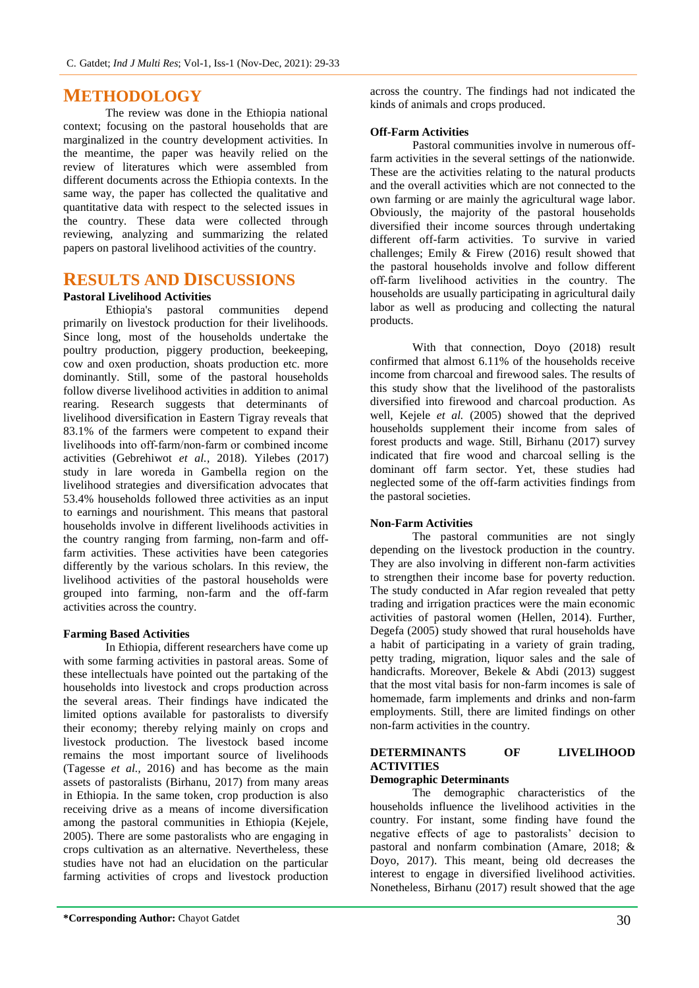## **METHODOLOGY**

The review was done in the Ethiopia national context; focusing on the pastoral households that are marginalized in the country development activities. In the meantime, the paper was heavily relied on the review of literatures which were assembled from different documents across the Ethiopia contexts. In the same way, the paper has collected the qualitative and quantitative data with respect to the selected issues in the country. These data were collected through reviewing, analyzing and summarizing the related papers on pastoral livelihood activities of the country.

## **RESULTS AND DISCUSSIONS**

### **Pastoral Livelihood Activities**

Ethiopia's pastoral communities depend primarily on livestock production for their livelihoods. Since long, most of the households undertake the poultry production, piggery production, beekeeping, cow and oxen production, shoats production etc. more dominantly. Still, some of the pastoral households follow diverse livelihood activities in addition to animal rearing. Research suggests that determinants of livelihood diversification in Eastern Tigray reveals that 83.1% of the farmers were competent to expand their livelihoods into off-farm/non-farm or combined income activities (Gebrehiwot *et al.,* 2018). Yilebes (2017) study in lare woreda in Gambella region on the livelihood strategies and diversification advocates that 53.4% households followed three activities as an input to earnings and nourishment. This means that pastoral households involve in different livelihoods activities in the country ranging from farming, non-farm and offfarm activities. These activities have been categories differently by the various scholars. In this review, the livelihood activities of the pastoral households were grouped into farming, non-farm and the off-farm activities across the country.

## **Farming Based Activities**

In Ethiopia, different researchers have come up with some farming activities in pastoral areas. Some of these intellectuals have pointed out the partaking of the households into livestock and crops production across the several areas. Their findings have indicated the limited options available for pastoralists to diversify their economy; thereby relying mainly on crops and livestock production. The livestock based income remains the most important source of livelihoods (Tagesse *et al.,* 2016) and has become as the main assets of pastoralists (Birhanu, 2017) from many areas in Ethiopia. In the same token, crop production is also receiving drive as a means of income diversification among the pastoral communities in Ethiopia (Kejele, 2005). There are some pastoralists who are engaging in crops cultivation as an alternative. Nevertheless, these studies have not had an elucidation on the particular farming activities of crops and livestock production

across the country. The findings had not indicated the kinds of animals and crops produced.

### **Off-Farm Activities**

Pastoral communities involve in numerous offfarm activities in the several settings of the nationwide. These are the activities relating to the natural products and the overall activities which are not connected to the own farming or are mainly the agricultural wage labor. Obviously, the majority of the pastoral households diversified their income sources through undertaking different off-farm activities. To survive in varied challenges; Emily & Firew (2016) result showed that the pastoral households involve and follow different off‑farm livelihood activities in the country. The households are usually participating in agricultural daily labor as well as producing and collecting the natural products.

With that connection, Doyo (2018) result confirmed that almost 6.11% of the households receive income from charcoal and firewood sales. The results of this study show that the livelihood of the pastoralists diversified into firewood and charcoal production. As well, Kejele *et al.* (2005) showed that the deprived households supplement their income from sales of forest products and wage. Still, Birhanu (2017) survey indicated that fire wood and charcoal selling is the dominant off farm sector. Yet, these studies had neglected some of the off-farm activities findings from the pastoral societies.

#### **Non-Farm Activities**

The pastoral communities are not singly depending on the livestock production in the country. They are also involving in different non-farm activities to strengthen their income base for poverty reduction. The study conducted in Afar region revealed that petty trading and irrigation practices were the main economic activities of pastoral women (Hellen, 2014). Further, Degefa (2005) study showed that rural households have a habit of participating in a variety of grain trading, petty trading, migration, liquor sales and the sale of handicrafts. Moreover, Bekele & Abdi (2013) suggest that the most vital basis for non-farm incomes is sale of homemade, farm implements and drinks and non-farm employments. Still, there are limited findings on other non-farm activities in the country.

## **DETERMINANTS OF LIVELIHOOD ACTIVITIES**

#### **Demographic Determinants**

The demographic characteristics of the households influence the livelihood activities in the country. For instant, some finding have found the negative effects of age to pastoralists' decision to pastoral and nonfarm combination (Amare, 2018; & Doyo, 2017). This meant, being old decreases the interest to engage in diversified livelihood activities. Nonetheless, Birhanu (2017) result showed that the age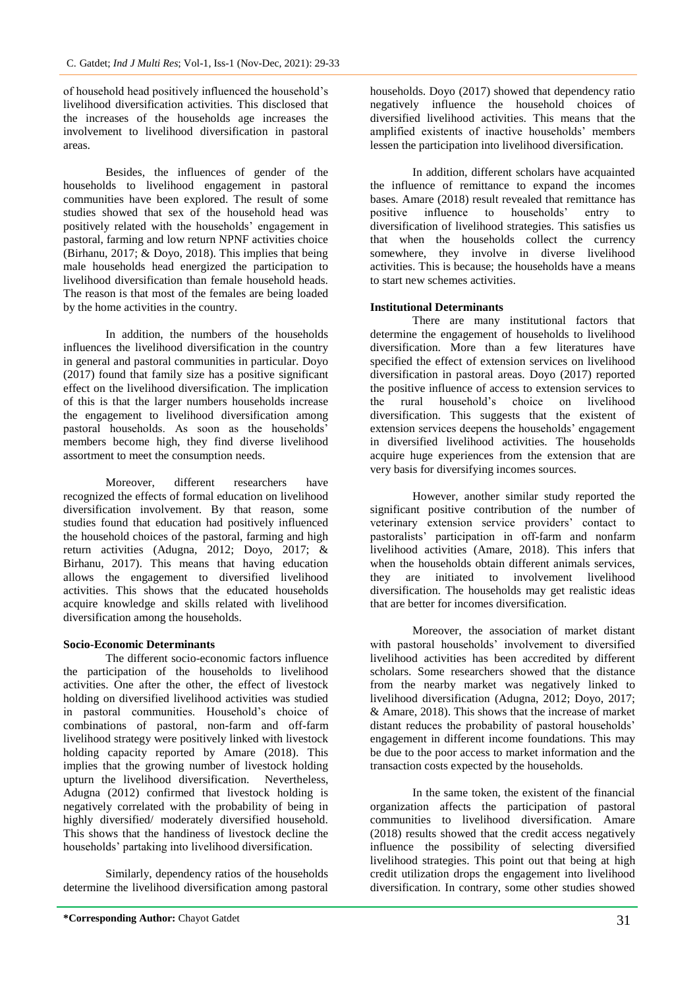of household head positively influenced the household's livelihood diversification activities. This disclosed that the increases of the households age increases the involvement to livelihood diversification in pastoral areas.

Besides, the influences of gender of the households to livelihood engagement in pastoral communities have been explored. The result of some studies showed that sex of the household head was positively related with the households' engagement in pastoral, farming and low return NPNF activities choice (Birhanu, 2017; & Doyo, 2018). This implies that being male households head energized the participation to livelihood diversification than female household heads. The reason is that most of the females are being loaded by the home activities in the country.

In addition, the numbers of the households influences the livelihood diversification in the country in general and pastoral communities in particular. Doyo (2017) found that family size has a positive significant effect on the livelihood diversification. The implication of this is that the larger numbers households increase the engagement to livelihood diversification among pastoral households. As soon as the households' members become high, they find diverse livelihood assortment to meet the consumption needs.

Moreover, different researchers have recognized the effects of formal education on livelihood diversification involvement. By that reason, some studies found that education had positively influenced the household choices of the pastoral, farming and high return activities (Adugna, 2012; Doyo, 2017; & Birhanu, 2017). This means that having education allows the engagement to diversified livelihood activities. This shows that the educated households acquire knowledge and skills related with livelihood diversification among the households.

#### **Socio-Economic Determinants**

The different socio-economic factors influence the participation of the households to livelihood activities. One after the other, the effect of livestock holding on diversified livelihood activities was studied in pastoral communities. Household's choice of combinations of pastoral, non-farm and off-farm livelihood strategy were positively linked with livestock holding capacity reported by Amare (2018). This implies that the growing number of livestock holding upturn the livelihood diversification. Nevertheless, Adugna (2012) confirmed that livestock holding is negatively correlated with the probability of being in highly diversified/ moderately diversified household. This shows that the handiness of livestock decline the households' partaking into livelihood diversification.

Similarly, dependency ratios of the households determine the livelihood diversification among pastoral

households. Doyo (2017) showed that dependency ratio negatively influence the household choices of diversified livelihood activities. This means that the amplified existents of inactive households' members lessen the participation into livelihood diversification.

In addition, different scholars have acquainted the influence of remittance to expand the incomes bases. Amare (2018) result revealed that remittance has positive influence to households' entry to diversification of livelihood strategies. This satisfies us that when the households collect the currency somewhere, they involve in diverse livelihood activities. This is because; the households have a means to start new schemes activities.

#### **Institutional Determinants**

There are many institutional factors that determine the engagement of households to livelihood diversification. More than a few literatures have specified the effect of extension services on livelihood diversification in pastoral areas. Doyo (2017) reported the positive influence of access to extension services to the rural household's choice on livelihood diversification. This suggests that the existent of extension services deepens the households' engagement in diversified livelihood activities. The households acquire huge experiences from the extension that are very basis for diversifying incomes sources.

However, another similar study reported the significant positive contribution of the number of veterinary extension service providers' contact to pastoralists' participation in off-farm and nonfarm livelihood activities (Amare, 2018). This infers that when the households obtain different animals services, they are initiated to involvement livelihood diversification. The households may get realistic ideas that are better for incomes diversification.

Moreover, the association of market distant with pastoral households' involvement to diversified livelihood activities has been accredited by different scholars. Some researchers showed that the distance from the nearby market was negatively linked to livelihood diversification (Adugna, 2012; Doyo, 2017; & Amare, 2018). This shows that the increase of market distant reduces the probability of pastoral households' engagement in different income foundations. This may be due to the poor access to market information and the transaction costs expected by the households.

In the same token, the existent of the financial organization affects the participation of pastoral communities to livelihood diversification. Amare (2018) results showed that the credit access negatively influence the possibility of selecting diversified livelihood strategies. This point out that being at high credit utilization drops the engagement into livelihood diversification. In contrary, some other studies showed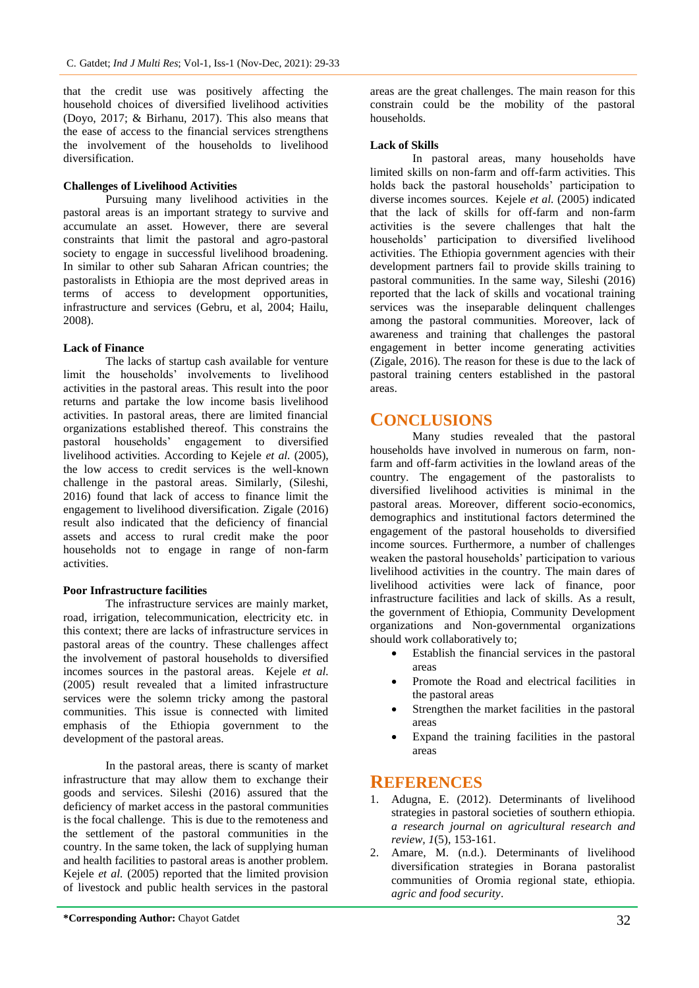that the credit use was positively affecting the household choices of diversified livelihood activities (Doyo, 2017; & Birhanu, 2017). This also means that the ease of access to the financial services strengthens the involvement of the households to livelihood diversification.

### **Challenges of Livelihood Activities**

Pursuing many livelihood activities in the pastoral areas is an important strategy to survive and accumulate an asset. However, there are several constraints that limit the pastoral and agro-pastoral society to engage in successful livelihood broadening. In similar to other sub Saharan African countries; the pastoralists in Ethiopia are the most deprived areas in terms of access to development opportunities, infrastructure and services (Gebru, et al, 2004; Hailu, 2008).

### **Lack of Finance**

The lacks of startup cash available for venture limit the households' involvements to livelihood activities in the pastoral areas. This result into the poor returns and partake the low income basis livelihood activities. In pastoral areas, there are limited financial organizations established thereof. This constrains the pastoral households' engagement to diversified livelihood activities. According to Kejele *et al.* (2005), the low access to credit services is the well-known challenge in the pastoral areas. Similarly, (Sileshi, 2016) found that lack of access to finance limit the engagement to livelihood diversification. Zigale (2016) result also indicated that the deficiency of financial assets and access to rural credit make the poor households not to engage in range of non-farm activities.

#### **Poor Infrastructure facilities**

The infrastructure services are mainly market, road, irrigation, telecommunication, electricity etc. in this context; there are lacks of infrastructure services in pastoral areas of the country. These challenges affect the involvement of pastoral households to diversified incomes sources in the pastoral areas. Kejele *et al.* (2005) result revealed that a limited infrastructure services were the solemn tricky among the pastoral communities. This issue is connected with limited emphasis of the Ethiopia government to the development of the pastoral areas.

In the pastoral areas, there is scanty of market infrastructure that may allow them to exchange their goods and services. Sileshi (2016) assured that the deficiency of market access in the pastoral communities is the focal challenge. This is due to the remoteness and the settlement of the pastoral communities in the country. In the same token, the lack of supplying human and health facilities to pastoral areas is another problem. Kejele *et al.* (2005) reported that the limited provision of livestock and public health services in the pastoral

**\*Corresponding Author:** Chayot Gatdet 32

areas are the great challenges. The main reason for this constrain could be the mobility of the pastoral households.

### **Lack of Skills**

In pastoral areas, many households have limited skills on non-farm and off-farm activities. This holds back the pastoral households' participation to diverse incomes sources. Kejele *et al.* (2005) indicated that the lack of skills for off-farm and non-farm activities is the severe challenges that halt the households' participation to diversified livelihood activities. The Ethiopia government agencies with their development partners fail to provide skills training to pastoral communities. In the same way, Sileshi (2016) reported that the lack of skills and vocational training services was the inseparable delinquent challenges among the pastoral communities. Moreover, lack of awareness and training that challenges the pastoral engagement in better income generating activities (Zigale, 2016). The reason for these is due to the lack of pastoral training centers established in the pastoral areas.

## **CONCLUSIONS**

Many studies revealed that the pastoral households have involved in numerous on farm, nonfarm and off-farm activities in the lowland areas of the country. The engagement of the pastoralists to diversified livelihood activities is minimal in the pastoral areas. Moreover, different socio-economics, demographics and institutional factors determined the engagement of the pastoral households to diversified income sources. Furthermore, a number of challenges weaken the pastoral households' participation to various livelihood activities in the country. The main dares of livelihood activities were lack of finance, poor infrastructure facilities and lack of skills. As a result, the government of Ethiopia, Community Development organizations and Non-governmental organizations should work collaboratively to;

- Establish the financial services in the pastoral areas
- Promote the Road and electrical facilities in the pastoral areas
- Strengthen the market facilities in the pastoral areas
- Expand the training facilities in the pastoral areas

## **REFERENCES**

- 1. Adugna, E. (2012). Determinants of livelihood strategies in pastoral societies of southern ethiopia. *a research journal on agricultural research and review, 1*(5), 153-161.
- 2. Amare, M. (n.d.). Determinants of livelihood diversification strategies in Borana pastoralist communities of Oromia regional state, ethiopia. *agric and food security*.